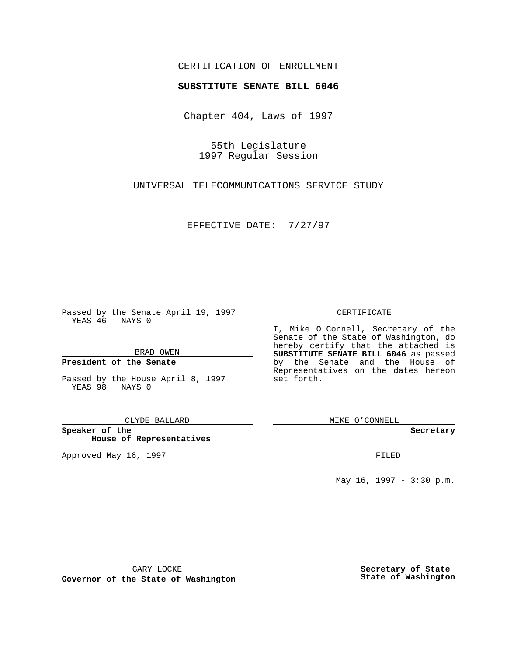# CERTIFICATION OF ENROLLMENT

# **SUBSTITUTE SENATE BILL 6046**

Chapter 404, Laws of 1997

55th Legislature 1997 Regular Session

UNIVERSAL TELECOMMUNICATIONS SERVICE STUDY

EFFECTIVE DATE: 7/27/97

Passed by the Senate April 19, 1997 YEAS 46 NAYS 0

BRAD OWEN

### **President of the Senate**

Passed by the House April 8, 1997 YEAS 98 NAYS 0

CLYDE BALLARD

**Speaker of the House of Representatives**

Approved May 16, 1997 **FILED** 

#### CERTIFICATE

I, Mike O Connell, Secretary of the Senate of the State of Washington, do hereby certify that the attached is **SUBSTITUTE SENATE BILL 6046** as passed by the Senate and the House of Representatives on the dates hereon set forth.

MIKE O'CONNELL

#### **Secretary**

May 16, 1997 - 3:30 p.m.

GARY LOCKE

**Governor of the State of Washington**

**Secretary of State State of Washington**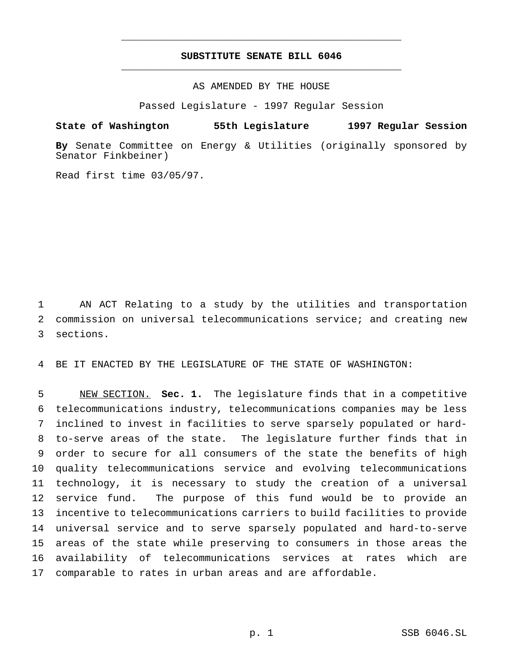# **SUBSTITUTE SENATE BILL 6046** \_\_\_\_\_\_\_\_\_\_\_\_\_\_\_\_\_\_\_\_\_\_\_\_\_\_\_\_\_\_\_\_\_\_\_\_\_\_\_\_\_\_\_\_\_\_\_

\_\_\_\_\_\_\_\_\_\_\_\_\_\_\_\_\_\_\_\_\_\_\_\_\_\_\_\_\_\_\_\_\_\_\_\_\_\_\_\_\_\_\_\_\_\_\_

AS AMENDED BY THE HOUSE

Passed Legislature - 1997 Regular Session

**State of Washington 55th Legislature 1997 Regular Session**

**By** Senate Committee on Energy & Utilities (originally sponsored by Senator Finkbeiner)

Read first time 03/05/97.

 AN ACT Relating to a study by the utilities and transportation commission on universal telecommunications service; and creating new sections.

BE IT ENACTED BY THE LEGISLATURE OF THE STATE OF WASHINGTON:

 NEW SECTION. **Sec. 1.** The legislature finds that in a competitive telecommunications industry, telecommunications companies may be less inclined to invest in facilities to serve sparsely populated or hard- to-serve areas of the state. The legislature further finds that in order to secure for all consumers of the state the benefits of high quality telecommunications service and evolving telecommunications technology, it is necessary to study the creation of a universal service fund. The purpose of this fund would be to provide an incentive to telecommunications carriers to build facilities to provide universal service and to serve sparsely populated and hard-to-serve areas of the state while preserving to consumers in those areas the availability of telecommunications services at rates which are comparable to rates in urban areas and are affordable.